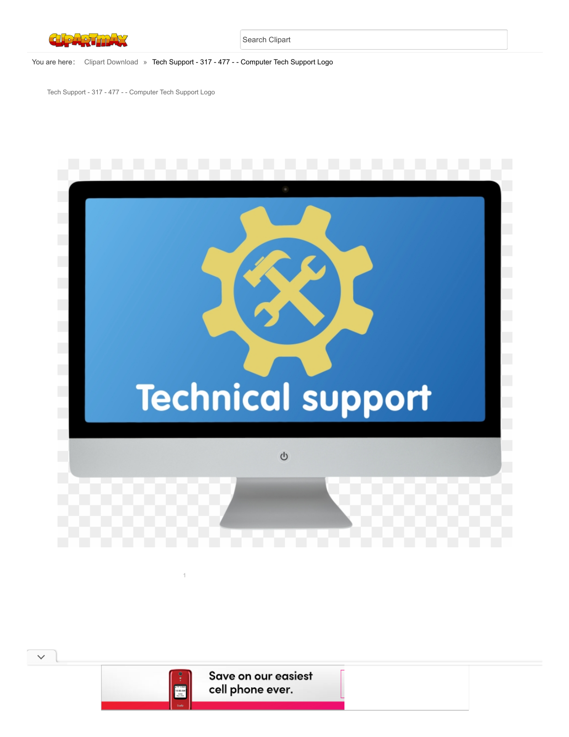

## You are here: [Clipart Download](https://www.clipartmax.com/) » Tech Support - 317 - 477 - - Computer Tech Support Logo

Tech Support - 317 - 477 - - Computer Tech Support Logo





 $\checkmark$ 

Save on our easiest cell phone ever.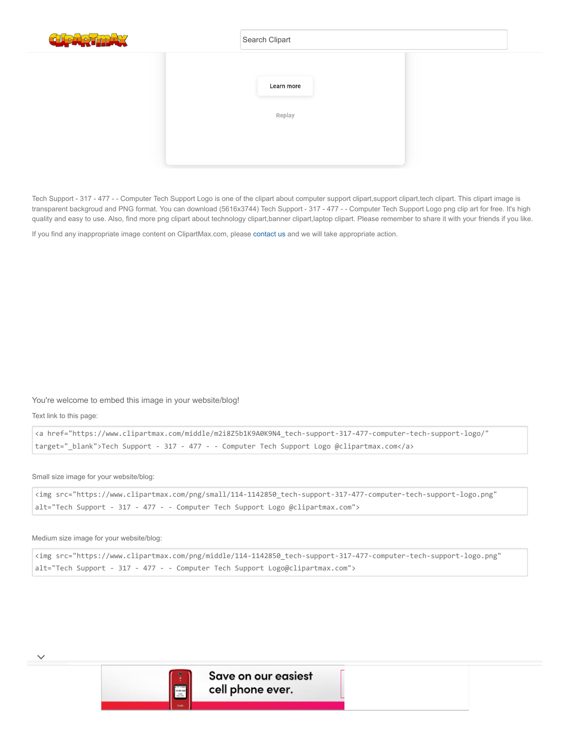

|  | Search Clipart |  |
|--|----------------|--|
|  |                |  |
|  | Learn more     |  |
|  |                |  |
|  | Replay         |  |
|  |                |  |
|  |                |  |
|  |                |  |

Tech Support - 317 - 477 - - Computer Tech Support Logo is one of the clipart about computer support clipart, support clipart, tech clipart. This clipart image is transparent backgroud and PNG format. You can download (5616x3744) Tech Support - 317 - 477 - - Computer Tech Support Logo png clip art for free. It's high quality and easy to use. Also, find more png clipart about technology clipart,banner clipart,laptop clipart. Please remember to share it with your friends if you like.

If you find any inappropriate image content on ClipartMax.com, please [contact us](https://www.clipartmax.com/tocontact/) and we will take appropriate action.

### You're welcome to embed this image in your website/blog!

Text link to this page:

 $\checkmark$ 

```
<a href="https://www.clipartmax.com/middle/m2i8Z5b1K9A0K9N4_tech-support-317-477-computer-tech-support-logo/"
target="_blank">Tech Support - 317 - 477 - - Computer Tech Support Logo @clipartmax.com</a>
```
Small size image for your website/blog:

```
<img src="https://www.clipartmax.com/png/small/114-1142850_tech-support-317-477-computer-tech-support-logo.png"
alt="Tech Support - 317 - 477 - - Computer Tech Support Logo @clipartmax.com">
```
Medium size image for your website/blog:

```
<img src="https://www.clipartmax.com/png/middle/114-1142850_tech-support-317-477-computer-tech-support-logo.png"
alt="Tech Support - 317 - 477 - - Computer Tech Support Logo@clipartmax.com">
```
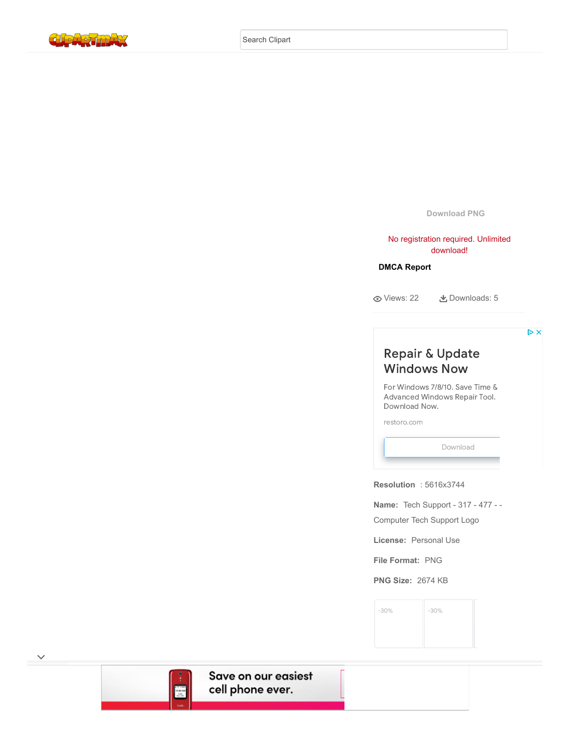

**Download PNG**

No registration required. Unlimited download!

## **[DMCA Report](https://www.clipartmax.com/todmca/)**

Views: 22 Downloads: 5

 $\triangleright\!\!\!\!\!\times$ 

# Repair & Update [Windows](https://www.googleadservices.com/pagead/aclk?sa=L&ai=CEb3nuW46Ytf4FuGJxAPGx4_gDY3FjcFiuq6U5NINwI23ARABIK28rQRgyY6KiYikhBCgAf2Q8_sCyAEBqAMByAPLBKoEqQJP0Kut3p4-xaclPGOM-VMeXZkNitIiUhJc-bUdAIyyBA9ftXjnjsHlpO11u99Qul_lQDkOCp2EPgfRPefrKOPO09290Rxlwa2mtz9JbgO4g6RD_iBr4D6N0FMLcMaxvMA-Sza6eaZ35rcsnmvnlzoV9GezEl_94tCWy6b-4uiZbOYANpiRueMveWhlv2uZtrYJsxqu5bx14qlTndpOR432okGMWs0tbHYs4_o8v8hFfToyROQ08kk7CqNbr9KGiZgRatTFZrGHJnIsEnb_UfqzLJlhmBk_SQVhBw_uzEWoR7CgSMV03Nl8X1tMu6W_HXZihxE7j6P4DBtLHkzlat8hOgjsPBC7efRSnEEazzOpDslTTEsuUlyhS3PEEpzMc4jzxvqRbG835kDABMX9rY20A4AH6-6MhAGoB47OG6gHk9gbqAfulrECqAf-nrECqAeko7ECqAfVyRuoB6a-G6gH89EbqAeW2BuoB6qbsQKoB9-fsQLYBwHSCAcIgGEQARgesQlakYyfNhPTLoAKAZgLAcgLAbgMAdgTAtAVAfgWAYAXAQ&ae=1&num=1&cid=CAASJORolV1KkbVRxo7Xeb4Mx1rsSj3lTFkWl1bRs2rgBLmEZHwEAQ&sig=AOD64_0srY0Vx_gYHWp2_VF2ExIuiB8xaw&client=ca-pub-3342428265858452&nb=0&adurl=https://www.restoro.com/includes/route.php%3Ftracking%3DGDNRes%26banner%3D1%26keyword%3D1%26lpx%3Dlwdu%26dyn_param%3DRepair_and_Update_Windows%26whf%3Dtrue%26banner%3D1609428714%26adgroup%3D117065875141%26keyword%3Drepair%2520windows%26ads_name%3Dwww.clipartmax.com%26gclid%3DEAIaIQobChMIl7mQ4IHb9gIV4QRxCh3G4wPcEAEYASAAEgL8NvD_BwE) Now

For Windows 7/8/10. Save Time  $\&$ [Advanced](https://www.googleadservices.com/pagead/aclk?sa=L&ai=CEb3nuW46Ytf4FuGJxAPGx4_gDY3FjcFiuq6U5NINwI23ARABIK28rQRgyY6KiYikhBCgAf2Q8_sCyAEBqAMByAPLBKoEqQJP0Kut3p4-xaclPGOM-VMeXZkNitIiUhJc-bUdAIyyBA9ftXjnjsHlpO11u99Qul_lQDkOCp2EPgfRPefrKOPO09290Rxlwa2mtz9JbgO4g6RD_iBr4D6N0FMLcMaxvMA-Sza6eaZ35rcsnmvnlzoV9GezEl_94tCWy6b-4uiZbOYANpiRueMveWhlv2uZtrYJsxqu5bx14qlTndpOR432okGMWs0tbHYs4_o8v8hFfToyROQ08kk7CqNbr9KGiZgRatTFZrGHJnIsEnb_UfqzLJlhmBk_SQVhBw_uzEWoR7CgSMV03Nl8X1tMu6W_HXZihxE7j6P4DBtLHkzlat8hOgjsPBC7efRSnEEazzOpDslTTEsuUlyhS3PEEpzMc4jzxvqRbG835kDABMX9rY20A4AH6-6MhAGoB47OG6gHk9gbqAfulrECqAf-nrECqAeko7ECqAfVyRuoB6a-G6gH89EbqAeW2BuoB6qbsQKoB9-fsQLYBwHSCAcIgGEQARgesQlakYyfNhPTLoAKAZgLAcgLAbgMAdgTAtAVAfgWAYAXAQ&ae=1&num=1&cid=CAASJORolV1KkbVRxo7Xeb4Mx1rsSj3lTFkWl1bRs2rgBLmEZHwEAQ&sig=AOD64_0srY0Vx_gYHWp2_VF2ExIuiB8xaw&client=ca-pub-3342428265858452&nb=7&adurl=https://www.restoro.com/includes/route.php%3Ftracking%3DGDNRes%26banner%3D1%26keyword%3D1%26lpx%3Dlwdu%26dyn_param%3DRepair_and_Update_Windows%26whf%3Dtrue%26banner%3D1609428714%26adgroup%3D117065875141%26keyword%3Drepair%2520windows%26ads_name%3Dwww.clipartmax.com%26gclid%3DEAIaIQobChMIl7mQ4IHb9gIV4QRxCh3G4wPcEAEYASAAEgL8NvD_BwE) Windows Repair Tool. Download Now.

[restoro.com](https://www.googleadservices.com/pagead/aclk?sa=L&ai=CEb3nuW46Ytf4FuGJxAPGx4_gDY3FjcFiuq6U5NINwI23ARABIK28rQRgyY6KiYikhBCgAf2Q8_sCyAEBqAMByAPLBKoEqQJP0Kut3p4-xaclPGOM-VMeXZkNitIiUhJc-bUdAIyyBA9ftXjnjsHlpO11u99Qul_lQDkOCp2EPgfRPefrKOPO09290Rxlwa2mtz9JbgO4g6RD_iBr4D6N0FMLcMaxvMA-Sza6eaZ35rcsnmvnlzoV9GezEl_94tCWy6b-4uiZbOYANpiRueMveWhlv2uZtrYJsxqu5bx14qlTndpOR432okGMWs0tbHYs4_o8v8hFfToyROQ08kk7CqNbr9KGiZgRatTFZrGHJnIsEnb_UfqzLJlhmBk_SQVhBw_uzEWoR7CgSMV03Nl8X1tMu6W_HXZihxE7j6P4DBtLHkzlat8hOgjsPBC7efRSnEEazzOpDslTTEsuUlyhS3PEEpzMc4jzxvqRbG835kDABMX9rY20A4AH6-6MhAGoB47OG6gHk9gbqAfulrECqAf-nrECqAeko7ECqAfVyRuoB6a-G6gH89EbqAeW2BuoB6qbsQKoB9-fsQLYBwHSCAcIgGEQARgesQlakYyfNhPTLoAKAZgLAcgLAbgMAdgTAtAVAfgWAYAXAQ&ae=1&num=1&cid=CAASJORolV1KkbVRxo7Xeb4Mx1rsSj3lTFkWl1bRs2rgBLmEZHwEAQ&sig=AOD64_0srY0Vx_gYHWp2_VF2ExIuiB8xaw&client=ca-pub-3342428265858452&nb=1&adurl=https://www.restoro.com/includes/route.php%3Ftracking%3DGDNRes%26banner%3D1%26keyword%3D1%26lpx%3Dlwdu%26dyn_param%3DRepair_and_Update_Windows%26whf%3Dtrue%26banner%3D1609428714%26adgroup%3D117065875141%26keyword%3Drepair%2520windows%26ads_name%3Dwww.clipartmax.com%26gclid%3DEAIaIQobChMIl7mQ4IHb9gIV4QRxCh3G4wPcEAEYASAAEgL8NvD_BwE)

[Download](https://www.googleadservices.com/pagead/aclk?sa=L&ai=CEb3nuW46Ytf4FuGJxAPGx4_gDY3FjcFiuq6U5NINwI23ARABIK28rQRgyY6KiYikhBCgAf2Q8_sCyAEBqAMByAPLBKoEqQJP0Kut3p4-xaclPGOM-VMeXZkNitIiUhJc-bUdAIyyBA9ftXjnjsHlpO11u99Qul_lQDkOCp2EPgfRPefrKOPO09290Rxlwa2mtz9JbgO4g6RD_iBr4D6N0FMLcMaxvMA-Sza6eaZ35rcsnmvnlzoV9GezEl_94tCWy6b-4uiZbOYANpiRueMveWhlv2uZtrYJsxqu5bx14qlTndpOR432okGMWs0tbHYs4_o8v8hFfToyROQ08kk7CqNbr9KGiZgRatTFZrGHJnIsEnb_UfqzLJlhmBk_SQVhBw_uzEWoR7CgSMV03Nl8X1tMu6W_HXZihxE7j6P4DBtLHkzlat8hOgjsPBC7efRSnEEazzOpDslTTEsuUlyhS3PEEpzMc4jzxvqRbG835kDABMX9rY20A4AH6-6MhAGoB47OG6gHk9gbqAfulrECqAf-nrECqAeko7ECqAfVyRuoB6a-G6gH89EbqAeW2BuoB6qbsQKoB9-fsQLYBwHSCAcIgGEQARgesQlakYyfNhPTLoAKAZgLAcgLAbgMAdgTAtAVAfgWAYAXAQ&ae=1&num=1&cid=CAASJORolV1KkbVRxo7Xeb4Mx1rsSj3lTFkWl1bRs2rgBLmEZHwEAQ&sig=AOD64_0srY0Vx_gYHWp2_VF2ExIuiB8xaw&client=ca-pub-3342428265858452&nb=8&adurl=https://www.restoro.com/includes/route.php%3Ftracking%3DGDNRes%26banner%3D1%26keyword%3D1%26lpx%3Dlwdu%26dyn_param%3DRepair_and_Update_Windows%26whf%3Dtrue%26banner%3D1609428714%26adgroup%3D117065875141%26keyword%3Drepair%2520windows%26ads_name%3Dwww.clipartmax.com%26gclid%3DEAIaIQobChMIl7mQ4IHb9gIV4QRxCh3G4wPcEAEYASAAEgL8NvD_BwE)

**Resolution** : 5616x3744

**Name:** Tech Support - 317 - 477 - -

Computer Tech Support Logo

**License:** Personal Use

**File Format:** PNG

**PNG Size:** 2674 KB

[-30%](https://www.googleadservices.com/pagead/aclk?sa=L&ai=Cj-9MuW46YpeINp35zLUP_LKzuALcnYeeaLzB-KGbC_DohuisHRABIK28rQRgyY6KiYikhBCgAabqoL0CyAEJqAMByAPLBKoErAJP0D92e1qu2pOobJaarDuPRjz7e6ujG7llubc4JDD3y4J0fXQ-wO-6SfheiebnSikw-A7UDvP853xhK1TAT0qwMS_DZgwEzLRVqKCMUdImWi08HO45HL5m9MYGTxOqNJI968JuswGg443aXd9MHuomN82zSn82Gtaecm0Pj8MXmbfdxfFGuLt4ANAVeKzO7fcgBPa3B8YCL1nZ4um70tJccYmpV7vp1N2d69P4v4KahuFXHBTO0KWO2G9rBKimKB-wwqJFXMn3jAd0GJ2WaLst-hL3XwuLBcrOGmOlECO-SLx0_M5GzQ2OHT7YXcAK3Wb9iGlug9MY0K39ulyKbOjH8DVu4w840CW7oItuTSfGaQDSDabnDOVA__KtIqpJ-bkiY-Va2p5opjKVAqrABKz41rSRA_oFBgglEAEYAKAGLoAHwpXfwgGoB47OG6gHk9gbqAfulrECqAf-nrECqAeko7ECqAemvhuoB_PRG6gHltgbqAeqm7ECqAffn7EC2AcAwAgB0ggHCIBhEAEYHoAKAZALA5gLAcgLAYAMAbgMAdgTDYgUBtAVAZgWAfgWAYAXAQ&ae=1&num=1&cid=CAASJORoP_ylL_cRfLVWQSiiZpDVjcVhEtLK_XM1Psa90XFijrK_-w&sig=AOD64_1KqJNKmfISK7smfMLLJZq_DsOZtA&client=ca-pub-3342428265858452&nb=9&adurl=https://www.aerogarden.com/catalog/product/view/id/975/s/aerogarden-seed-starting-system-for-2019-bounty-models/%3Futm_source%3Dgoogle%26utm_medium%3Ddisplay%26utm_campaign%3Dretargeting%26gclid%3DEAIaIQobChMI18iv4IHb9gIVnTyzAB182QwnEAEYASABEgLrVfD_BwE) [-30%](https://www.googleadservices.com/pagead/aclk?sa=L&ai=CIRsMuW46YpeINp35zLUP_LKzuALcnYeeaLzB-KGbC_DohuisHRABIK28rQRgyY6KiYikhBCgAabqoL0CyAEJqAMByAPLBKoErAJP0D92e1qu2pOobJaarDuPRjz7e6ujG7llubc4JDD3y4J0fXQ-wO-6SfheiebnSikw-A7UDvP853xhK1TAT0qwMS_DZgwEzLRVqKCMUdImWi08HO45HL5m9MYGTxOqNJI968JuswGg443aXd9MHuomN82zSn82Gtaecm0Pj8MXmbfdxfFGuLt4ANAVeKzO7fcgBPa3B8YCL1nZ4um70tJccYmpV7vp1N2d69P4v4KahuFXHBTO0KWO2G9rBKimKB-wwqJFXMn3jAd0GJ2WaLst-hL3XwuLBcrOGmOlECO-SLx0_M5GzQ2OHT7YXcAK3Wb9iGlug9MY0K39ulyKbOjH8DVu4w840CW7oItuTSfGaQDSDabnDOVA__KtIqpJ-bkiY-Va2p5opjKVAqrABKz41rSRA_oFBgglEAEYAaAGLoAHwpXfwgGoB47OG6gHk9gbqAfulrECqAf-nrECqAeko7ECqAemvhuoB_PRG6gHltgbqAeqm7ECqAffn7EC2AcAwAgC0ggHCIBhEAEYHoAKAZALA5gLAcgLAYAMAbgMAdgTDYgUBtAVAZgWAfgWAYAXAQ&ae=1&num=1&cid=CAASJORoP_ylL_cRfLVWQSiiZpDVjcVhEtLK_XM1Psa90XFijrK_-w&sig=AOD64_1vvDtWHm_422x1HKCwQKCywMm8Hw&client=ca-pub-3342428265858452&nb=9&adurl=https://www.aerogarden.com/catalog/product/view/id/576/s/grow-anything-seed-pod-kit-6-pod/%3Futm_source%3Dgoogle%26utm_medium%3Ddisplay%26utm_campaign%3Dretargeting%26gclid%3DEAIaIQobChMI18iv4IHb9gIVnTyzAB182QwnEAEYASACEgIb4PD_BwE) [-30%](https://www.googleadservices.com/pagead/aclk?sa=L&ai=Cou7AuW46YpeINp35zLUP_LKzuALcnYeeaLzB-KGbC_DohuisHRABIK28rQRgyY6KiYikhBCgAabqoL0CyAEJqAMByAPLBKoErAJP0D92e1qu2pOobJaarDuPRjz7e6ujG7llubc4JDD3y4J0fXQ-wO-6SfheiebnSikw-A7UDvP853xhK1TAT0qwMS_DZgwEzLRVqKCMUdImWi08HO45HL5m9MYGTxOqNJI968JuswGg443aXd9MHuomN82zSn82Gtaecm0Pj8MXmbfdxfFGuLt4ANAVeKzO7fcgBPa3B8YCL1nZ4um70tJccYmpV7vp1N2d69P4v4KahuFXHBTO0KWO2G9rBKimKB-wwqJFXMn3jAd0GJ2WaLst-hL3XwuLBcrOGmOlECO-SLx0_M5GzQ2OHT7YXcAK3Wb9iGlug9MY0K39ulyKbOjH8DVu4w840CW7oItuTSfGaQDSDabnDOVA__KtIqpJ-bkiY-Va2p5opjKVAqrABKz41rSRA_oFBgglEAEYAqAGLoAHwpXfwgGoB47OG6gHk9gbqAfulrECqAf-nrECqAeko7ECqAemvhuoB_PRG6gHltgbqAeqm7ECqAffn7EC2AcAwAgD0ggHCIBhEAEYHoAKAZALA5gLAcgLAYAMAbgMAdgTDYgUBtAVAZgWAfgWAYAXAQ&ae=1&num=1&cid=CAASJORoP_ylL_cRfLVWQSiiZpDVjcVhEtLK_XM1Psa90XFijrK_-w&sig=AOD64_2A9Vrh9lSDJlwyMAqQPHNXHCviIA&client=ca-pub-3342428265858452&nb=9&adurl=https://www.aerogarden.com/catalog/product/view/id/1003/s/custom-herb-seed-pod-kit-3-pod/%3Futm_source%3Dgoogle%26utm_medium%3Ddisplay%26utm_campaign%3Dretargeting%26gclid%3DEAIaIQobChMI18iv4IHb9gIVnTyzAB182QwnEAEYASADEgLqLvD_BwE) [-30%](https://www.googleadservices.com/pagead/aclk?sa=L&ai=CZxWbuW46YpeINp35zLUP_LKzuALcnYeeaLzB-KGbC_DohuisHRABIK28rQRgyY6KiYikhBCgAabqoL0CyAEJqAMByAPLBKoErAJP0D92e1qu2pOobJaarDuPRjz7e6ujG7llubc4JDD3y4J0fXQ-wO-6SfheiebnSikw-A7UDvP853xhK1TAT0qwMS_DZgwEzLRVqKCMUdImWi08HO45HL5m9MYGTxOqNJI968JuswGg443aXd9MHuomN82zSn82Gtaecm0Pj8MXmbfdxfFGuLt4ANAVeKzO7fcgBPa3B8YCL1nZ4um70tJccYmpV7vp1N2d69P4v4KahuFXHBTO0KWO2G9rBKimKB-wwqJFXMn3jAd0GJ2WaLst-hL3XwuLBcrOGmOlECO-SLx0_M5GzQ2OHT7YXcAK3Wb9iGlug9MY0K39ulyKbOjH8DVu4w840CW7oItuTSfGaQDSDabnDOVA__KtIqpJ-bkiY-Va2p5opjKVAqrABKz41rSRA_oFBgglEAEYA6AGLoAHwpXfwgGoB47OG6gHk9gbqAfulrECqAf-nrECqAeko7ECqAemvhuoB_PRG6gHltgbqAeqm7ECqAffn7EC2AcAwAgE0ggHCIBhEAEYHoAKAZALA5gLAcgLAYAMAbgMAdgTDYgUBtAVAZgWAfgWAYAXAQ&ae=1&num=1&cid=CAASJORoP_ylL_cRfLVWQSiiZpDVjcVhEtLK_XM1Psa90XFijrK_-w&sig=AOD64_2drccuLFCkPHbw3wGrU89sU_lm9A&client=ca-pub-3342428265858452&nb=9&adurl=https://www.aerogarden.com/catalog/product/view/id/364/s/lots-of-lavender-seed-pod-kit-3-pod/%3Futm_source%3Dgoogle%26utm_medium%3Ddisplay%26utm_campaign%3Dretargeting%26gclid%3DEAIaIQobChMI18iv4IHb9gIVnTyzAB182QwnEAEYASAEEgIlpvD_BwE)



 $\checkmark$ 

Save on our easiest cell phone ever.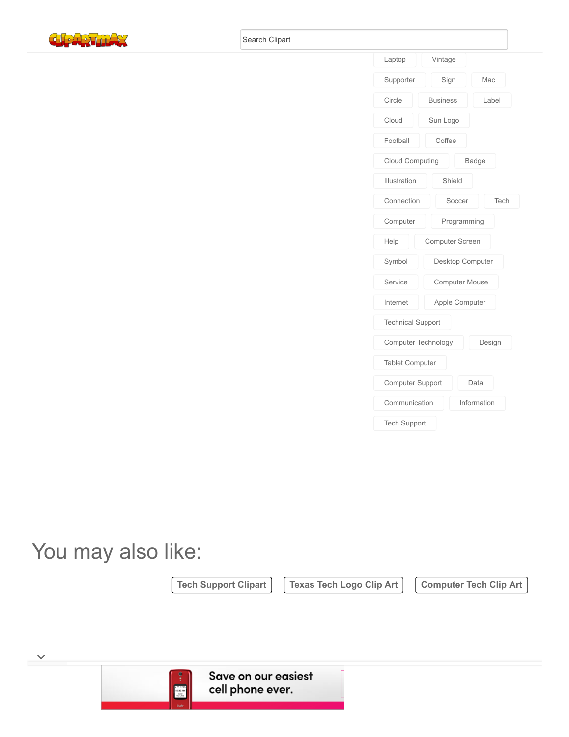



# You may also like:

 $\checkmark$ 

[Tech Support Clipart](https://www.clipartmax.com/so/tech-support-clipart/) | [Texas Tech Logo Clip Art](https://www.clipartmax.com/so/texas-tech-logo-clip-art/) | [Computer Tech Clip Art](https://www.clipartmax.com/so/computer-tech-clip-art/)



Save on our easiest cell phone ever.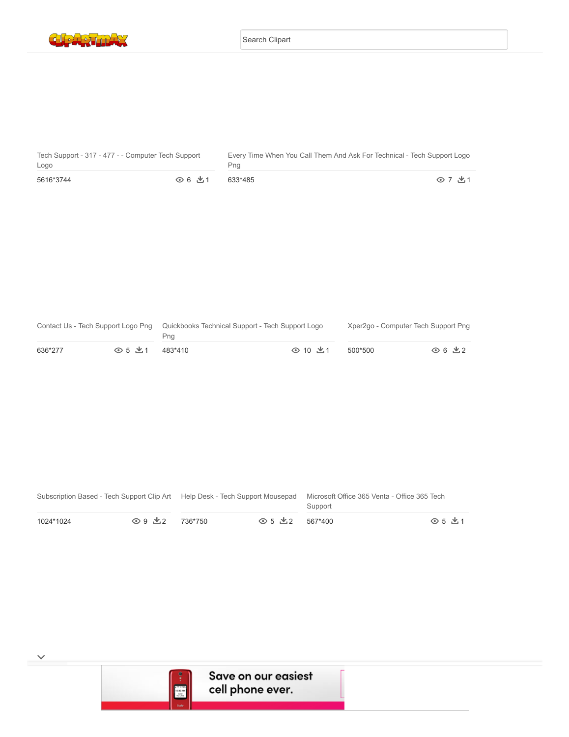

| $\overline{a}$ |  |  |
|----------------|--|--|
|                |  |  |
|                |  |  |
|                |  |  |
|                |  |  |

| Tech Support - 317 - 477 - - Computer Tech Support |        | Every Time When You Call Them And Ask For Technical - Tech Support Logo |        |  |
|----------------------------------------------------|--------|-------------------------------------------------------------------------|--------|--|
| Logo                                               |        | Png                                                                     |        |  |
| 5616*3744                                          | ⊙ 6 出1 | 633*485                                                                 | ⊙ 7 出1 |  |

|         |        | Contact Us - Tech Support Logo Png Quickbooks Technical Support - Tech Support Logo<br>Pna |         | Xper2go - Computer Tech Support Png |        |
|---------|--------|--------------------------------------------------------------------------------------------|---------|-------------------------------------|--------|
| 636*277 | ⊙ 5 出1 | 483*410                                                                                    | ⊙ 10 出1 | 500*500                             | ⊙ 6 出2 |

|           |                          |         |                          | Microsoft Office 365 Venta - Office 365 Tech<br>Support |          |
|-----------|--------------------------|---------|--------------------------|---------------------------------------------------------|----------|
| 1024*1024 | $\bigcirc$ 9 $\forall$ 2 | 736*750 | $\odot$ 5 $\cancel{0.2}$ | 567*400                                                 | ⊙ 5 .V.1 |



 $\checkmark$ 

9 3 1000 The Contract of the Contract of the Contract of the Contract of the Contract of the Contract of the Co

Technical Support - Technical Support Tech Support

Icon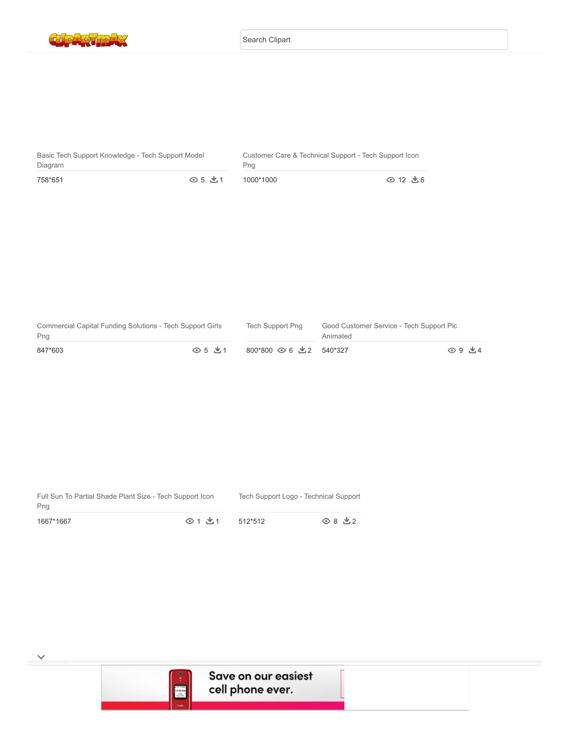

| $\overline{a}$ |  | $\overline{a}$ |
|----------------|--|----------------|
|                |  |                |
|                |  |                |
|                |  |                |
|                |  |                |

| Basic Tech Support Knowledge - Tech Support Model |        | Customer Care & Technical Support - Tech Support Icon |          |  |
|---------------------------------------------------|--------|-------------------------------------------------------|----------|--|
| Diagram                                           |        | Pna                                                   |          |  |
| 758*651                                           | ⊙ 5 出1 | 1000*1000                                             | ⊙ 12 出 6 |  |

| Commercial Capital Funding Solutions - Tech Support Girls<br>Png |        | Tech Support Png        | Good Customer Service - Tech Support Pic<br>Animated |        |
|------------------------------------------------------------------|--------|-------------------------|------------------------------------------------------|--------|
| 847*603                                                          | ⊙ 5 出1 | 800*800 ⊙ 6 出 2 540*327 |                                                      | ⊙ 9 出4 |

| Full Sun To Partial Shade Plant Size - Tech Support Icon |          |         | Tech Support Logo - Technical Support |
|----------------------------------------------------------|----------|---------|---------------------------------------|
| Png<br>1667*1667                                         | ⊙ 1 .* 1 | 512*512 | ⊙8 ±2                                 |



 $\checkmark$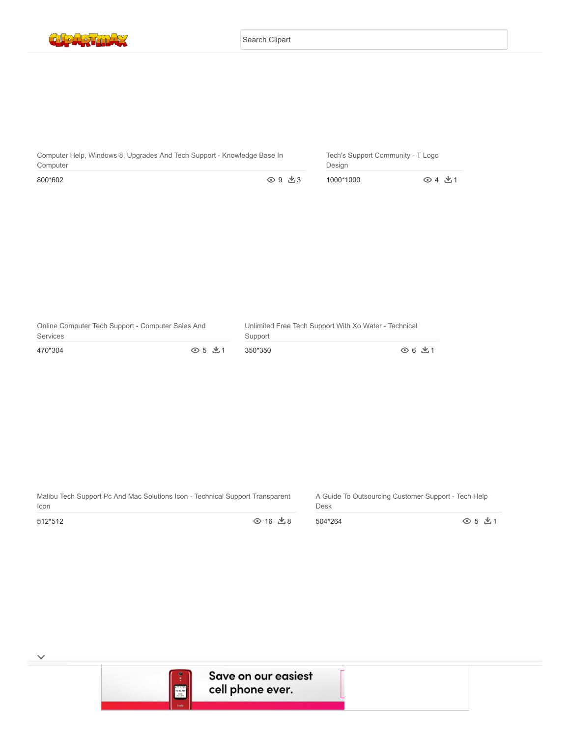Search Clipart



| Computer Help, Windows 8, Upgrades And Tech Support - Knowledge Base In<br>Computer |                   | Tech's Support Community - T Logo<br>Desian |       |
|-------------------------------------------------------------------------------------|-------------------|---------------------------------------------|-------|
| 800*602                                                                             | $\odot$ 9 $\pm$ 3 | 1000*1000                                   | ⊙4 出1 |
|                                                                                     |                   |                                             |       |

| Online Computer Tech Support - Computer Sales And |                      | Unlimited Free Tech Support With Xo Water - Technical |        |  |
|---------------------------------------------------|----------------------|-------------------------------------------------------|--------|--|
| Services                                          |                      | Support                                               |        |  |
| 470*304                                           | $\odot$ 5 $\prime$ 1 | 350*350                                               | ⊙ 6 出1 |  |

Malibu Tech Support Pc And Mac Solutions Icon - Technical Support Transparent Icon

Technical Support Customer Service Telstra Media Call - Technical Support

A Guide To Outsourcing Customer Support - Tech Help Desk

Tech Support 24/7 - Technical Support

512\*512

 $\checkmark$ 

 $0$  16  $\pm$  8 504\*264

⊙ 5 ±1

ne ever.